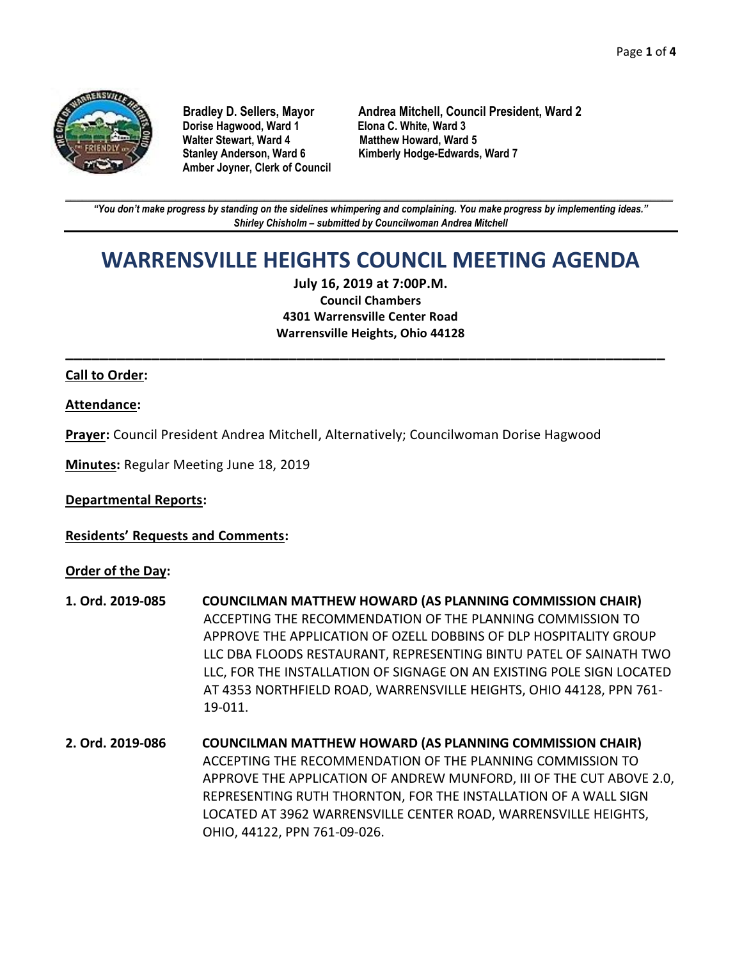

**Dorise Hagwood, Ward 1** Elona C. White, Ward 3<br>
Walter Stewart, Ward 4 Matthew Howard, Ward **Amber Joyner, Clerk of Council**

**Bradley D. Sellers, Mayor Andrea Mitchell, Council President, Ward 2 Matthew Howard, Ward 5 Stanley Anderson, Ward 6 Kimberly Hodge-Edwards, Ward 7**

**\_\_\_\_\_\_\_\_\_\_\_\_\_\_\_\_\_\_\_\_\_\_\_\_\_\_\_\_\_\_\_\_\_\_\_\_\_\_\_\_\_\_\_\_\_\_\_\_\_\_\_\_\_\_\_\_\_\_\_\_\_\_\_\_\_\_\_\_\_\_\_\_\_\_\_\_\_\_\_\_\_\_\_\_\_\_\_\_\_\_\_\_\_\_\_\_\_\_\_\_\_\_\_\_\_\_\_\_\_\_** *"You don't make progress by standing on the sidelines whimpering and complaining. You make progress by implementing ideas." Shirley Chisholm – submitted by Councilwoman Andrea Mitchell*

# **WARRENSVILLE HEIGHTS COUNCIL MEETING AGENDA**

**July 16, 2019 at 7:00P.M. Council Chambers 4301 Warrensville Center Road Warrensville Heights, Ohio 44128**

**\_\_\_\_\_\_\_\_\_\_\_\_\_\_\_\_\_\_\_\_\_\_\_\_\_\_\_\_\_\_\_\_\_\_\_\_\_\_\_\_\_\_\_\_\_\_\_\_\_\_\_\_\_\_\_\_\_\_\_\_\_\_\_\_\_\_\_\_\_\_**

#### **Call to Order:**

#### **Attendance:**

**Prayer:** Council President Andrea Mitchell, Alternatively; Councilwoman Dorise Hagwood

**Minutes:** Regular Meeting June 18, 2019

**Departmental Reports:**

**Residents' Requests and Comments:**

#### **Order of the Day:**

- **1. Ord. 2019-085 COUNCILMAN MATTHEW HOWARD (AS PLANNING COMMISSION CHAIR)** ACCEPTING THE RECOMMENDATION OF THE PLANNING COMMISSION TO APPROVE THE APPLICATION OF OZELL DOBBINS OF DLP HOSPITALITY GROUP LLC DBA FLOODS RESTAURANT, REPRESENTING BINTU PATEL OF SAINATH TWO LLC, FOR THE INSTALLATION OF SIGNAGE ON AN EXISTING POLE SIGN LOCATED AT 4353 NORTHFIELD ROAD, WARRENSVILLE HEIGHTS, OHIO 44128, PPN 761- 19-011.
- **2. Ord. 2019-086 COUNCILMAN MATTHEW HOWARD (AS PLANNING COMMISSION CHAIR)** ACCEPTING THE RECOMMENDATION OF THE PLANNING COMMISSION TO APPROVE THE APPLICATION OF ANDREW MUNFORD, III OF THE CUT ABOVE 2.0, REPRESENTING RUTH THORNTON, FOR THE INSTALLATION OF A WALL SIGN LOCATED AT 3962 WARRENSVILLE CENTER ROAD, WARRENSVILLE HEIGHTS, OHIO, 44122, PPN 761-09-026.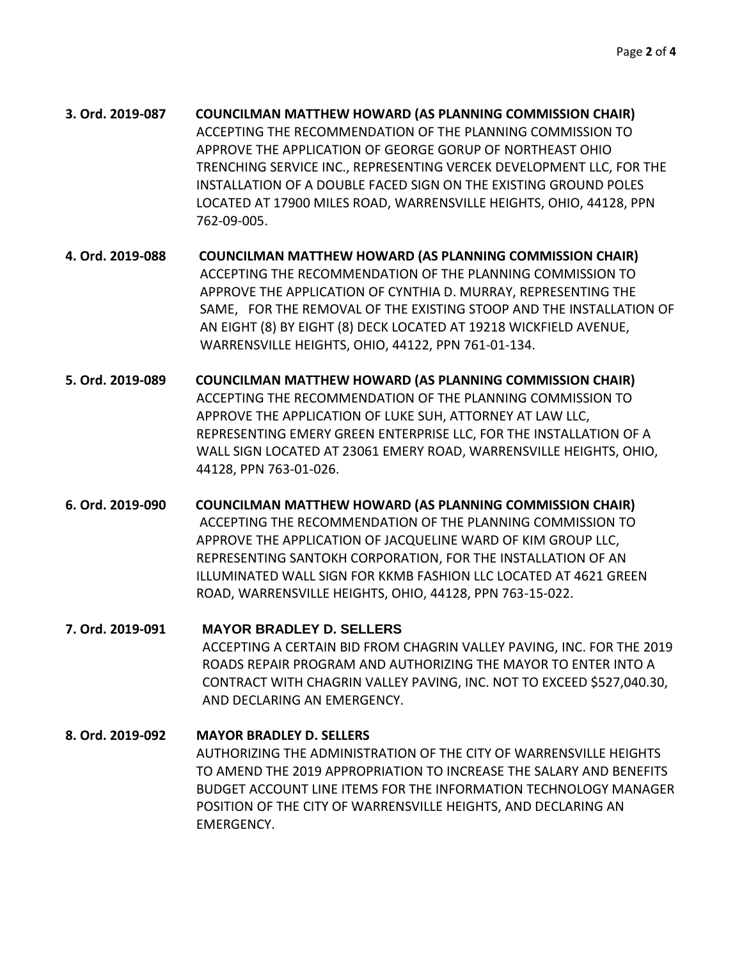- **3. Ord. 2019-087 COUNCILMAN MATTHEW HOWARD (AS PLANNING COMMISSION CHAIR)** ACCEPTING THE RECOMMENDATION OF THE PLANNING COMMISSION TO APPROVE THE APPLICATION OF GEORGE GORUP OF NORTHEAST OHIO TRENCHING SERVICE INC., REPRESENTING VERCEK DEVELOPMENT LLC, FOR THE INSTALLATION OF A DOUBLE FACED SIGN ON THE EXISTING GROUND POLES LOCATED AT 17900 MILES ROAD, WARRENSVILLE HEIGHTS, OHIO, 44128, PPN 762-09-005.
- **4. Ord. 2019-088 COUNCILMAN MATTHEW HOWARD (AS PLANNING COMMISSION CHAIR)** ACCEPTING THE RECOMMENDATION OF THE PLANNING COMMISSION TO APPROVE THE APPLICATION OF CYNTHIA D. MURRAY, REPRESENTING THE SAME, FOR THE REMOVAL OF THE EXISTING STOOP AND THE INSTALLATION OF AN EIGHT (8) BY EIGHT (8) DECK LOCATED AT 19218 WICKFIELD AVENUE, WARRENSVILLE HEIGHTS, OHIO, 44122, PPN 761-01-134.
- **5. Ord. 2019-089 COUNCILMAN MATTHEW HOWARD (AS PLANNING COMMISSION CHAIR)** ACCEPTING THE RECOMMENDATION OF THE PLANNING COMMISSION TO APPROVE THE APPLICATION OF LUKE SUH, ATTORNEY AT LAW LLC, REPRESENTING EMERY GREEN ENTERPRISE LLC, FOR THE INSTALLATION OF A WALL SIGN LOCATED AT 23061 EMERY ROAD, WARRENSVILLE HEIGHTS, OHIO, 44128, PPN 763-01-026.
- **6. Ord. 2019-090 COUNCILMAN MATTHEW HOWARD (AS PLANNING COMMISSION CHAIR)** ACCEPTING THE RECOMMENDATION OF THE PLANNING COMMISSION TO APPROVE THE APPLICATION OF JACQUELINE WARD OF KIM GROUP LLC, REPRESENTING SANTOKH CORPORATION, FOR THE INSTALLATION OF AN ILLUMINATED WALL SIGN FOR KKMB FASHION LLC LOCATED AT 4621 GREEN ROAD, WARRENSVILLE HEIGHTS, OHIO, 44128, PPN 763-15-022.

**7. Ord. 2019-091 MAYOR BRADLEY D. SELLERS** ACCEPTING A CERTAIN BID FROM CHAGRIN VALLEY PAVING, INC. FOR THE 2019 ROADS REPAIR PROGRAM AND AUTHORIZING THE MAYOR TO ENTER INTO A CONTRACT WITH CHAGRIN VALLEY PAVING, INC. NOT TO EXCEED \$527,040.30, AND DECLARING AN EMERGENCY.

**8. Ord. 2019-092 MAYOR BRADLEY D. SELLERS** AUTHORIZING THE ADMINISTRATION OF THE CITY OF WARRENSVILLE HEIGHTS TO AMEND THE 2019 APPROPRIATION TO INCREASE THE SALARY AND BENEFITS BUDGET ACCOUNT LINE ITEMS FOR THE INFORMATION TECHNOLOGY MANAGER POSITION OF THE CITY OF WARRENSVILLE HEIGHTS, AND DECLARING AN EMERGENCY.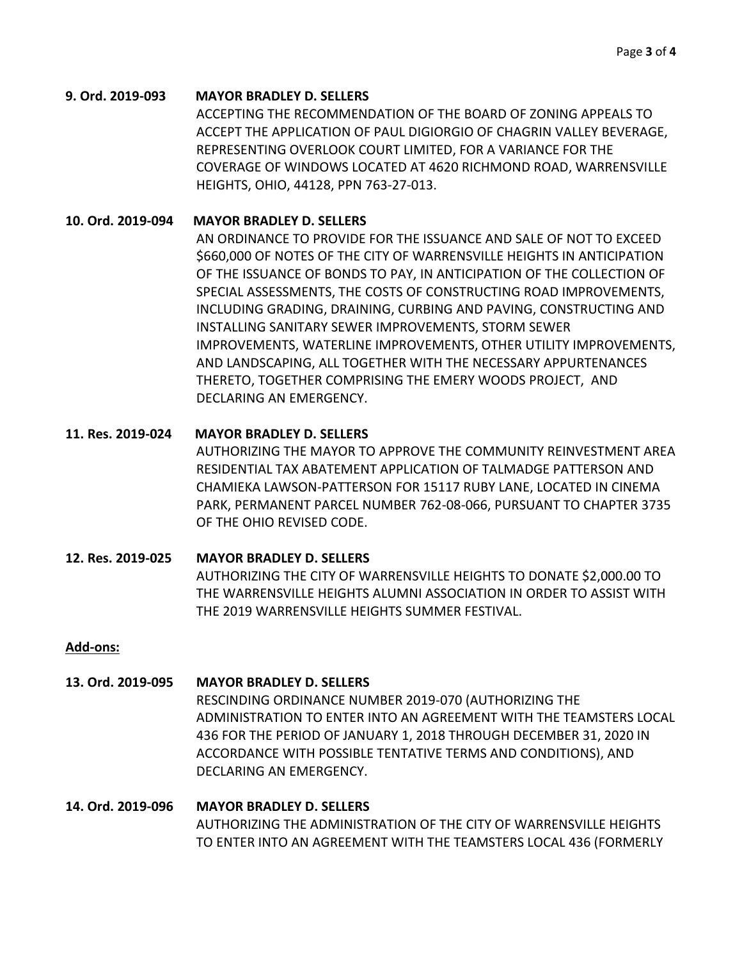#### **9. Ord. 2019-093 MAYOR BRADLEY D. SELLERS**

ACCEPTING THE RECOMMENDATION OF THE BOARD OF ZONING APPEALS TO ACCEPT THE APPLICATION OF PAUL DIGIORGIO OF CHAGRIN VALLEY BEVERAGE, REPRESENTING OVERLOOK COURT LIMITED, FOR A VARIANCE FOR THE COVERAGE OF WINDOWS LOCATED AT 4620 RICHMOND ROAD, WARRENSVILLE HEIGHTS, OHIO, 44128, PPN 763-27-013.

#### **10. Ord. 2019-094 MAYOR BRADLEY D. SELLERS**

AN ORDINANCE TO PROVIDE FOR THE ISSUANCE AND SALE OF NOT TO EXCEED \$660,000 OF NOTES OF THE CITY OF WARRENSVILLE HEIGHTS IN ANTICIPATION OF THE ISSUANCE OF BONDS TO PAY, IN ANTICIPATION OF THE COLLECTION OF SPECIAL ASSESSMENTS, THE COSTS OF CONSTRUCTING ROAD IMPROVEMENTS, INCLUDING GRADING, DRAINING, CURBING AND PAVING, CONSTRUCTING AND INSTALLING SANITARY SEWER IMPROVEMENTS, STORM SEWER IMPROVEMENTS, WATERLINE IMPROVEMENTS, OTHER UTILITY IMPROVEMENTS, AND LANDSCAPING, ALL TOGETHER WITH THE NECESSARY APPURTENANCES THERETO, TOGETHER COMPRISING THE EMERY WOODS PROJECT, AND DECLARING AN EMERGENCY.

## **11. Res. 2019-024 MAYOR BRADLEY D. SELLERS**

AUTHORIZING THE MAYOR TO APPROVE THE COMMUNITY REINVESTMENT AREA RESIDENTIAL TAX ABATEMENT APPLICATION OF TALMADGE PATTERSON AND CHAMIEKA LAWSON-PATTERSON FOR 15117 RUBY LANE, LOCATED IN CINEMA PARK, PERMANENT PARCEL NUMBER 762-08-066, PURSUANT TO CHAPTER 3735 OF THE OHIO REVISED CODE.

# **12. Res. 2019-025 MAYOR BRADLEY D. SELLERS** AUTHORIZING THE CITY OF WARRENSVILLE HEIGHTS TO DONATE \$2,000.00 TO THE WARRENSVILLE HEIGHTS ALUMNI ASSOCIATION IN ORDER TO ASSIST WITH THE 2019 WARRENSVILLE HEIGHTS SUMMER FESTIVAL.

## **Add-ons:**

# **13. Ord. 2019-095 MAYOR BRADLEY D. SELLERS** RESCINDING ORDINANCE NUMBER 2019-070 (AUTHORIZING THE ADMINISTRATION TO ENTER INTO AN AGREEMENT WITH THE TEAMSTERS LOCAL 436 FOR THE PERIOD OF JANUARY 1, 2018 THROUGH DECEMBER 31, 2020 IN ACCORDANCE WITH POSSIBLE TENTATIVE TERMS AND CONDITIONS), AND DECLARING AN EMERGENCY.

# **14. Ord. 2019-096 MAYOR BRADLEY D. SELLERS** AUTHORIZING THE ADMINISTRATION OF THE CITY OF WARRENSVILLE HEIGHTS TO ENTER INTO AN AGREEMENT WITH THE TEAMSTERS LOCAL 436 (FORMERLY